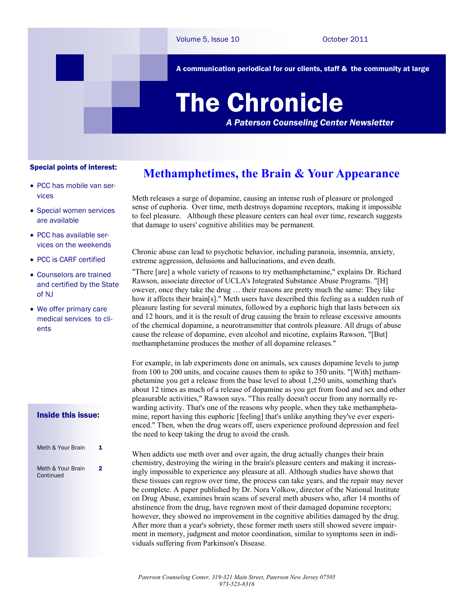A communication periodical for our clients, staff & the community at large

# The Chronicle *A Paterson Counseling Center Newsletter*

Special points of interest:

- PCC has mobile van services
- Special women services are available
- PCC has available services on the weekends
- PCC is CARF certified
- Counselors are trained and certified by the State of NJ
- We offer primary care medical services to clients

#### Inside this issue:

| Meth & Your Brain              | 1 |
|--------------------------------|---|
| Meth & Your Brain<br>Continued | 2 |

### **Methamphetimes, the Brain & Your Appearance**

Meth releases a surge of dopamine, causing an intense rush of pleasure or prolonged sense of euphoria. Over time, meth destroys dopamine receptors, making it impossible to feel pleasure. Although these pleasure centers can heal over time, research suggests that damage to users' cognitive abilities may be permanent.

Chronic abuse can lead to psychotic behavior, including paranoia, insomnia, anxiety, extreme aggression, delusions and hallucinations, and even death.

"There [are] a whole variety of reasons to try methamphetamine," explains Dr. Richard Rawson, associate director of UCLA's Integrated Substance Abuse Programs. "[H] owever, once they take the drug … their reasons are pretty much the same: They like how it affects their brain[s]." Meth users have described this feeling as a sudden rush of pleasure lasting for several minutes, followed by a euphoric high that lasts between six and 12 hours, and it is the result of drug causing the brain to release excessive amounts of the chemical dopamine, a neurotransmitter that controls pleasure. All drugs of abuse cause the release of dopamine, even alcohol and nicotine, explains Rawson, "[But] methamphetamine produces the mother of all dopamine releases."

For example, in lab experiments done on animals, sex causes dopamine levels to jump from 100 to 200 units, and cocaine causes them to spike to 350 units. "[With] methamphetamine you get a release from the base level to about 1,250 units, something that's about 12 times as much of a release of dopamine as you get from food and sex and other pleasurable activities," Rawson says. "This really doesn't occur from any normally rewarding activity. That's one of the reasons why people, when they take methamphetamine, report having this euphoric [feeling] that's unlike anything they've ever experienced." Then, when the drug wears off, users experience profound depression and feel the need to keep taking the drug to avoid the crash.

When addicts use meth over and over again, the drug actually changes their brain chemistry, destroying the wiring in the brain's pleasure centers and making it increasingly impossible to experience any pleasure at all. Although studies have shown that these tissues can regrow over time, the process can take years, and the repair may never be complete. A paper published by Dr. Nora Volkow, director of the National Institute on Drug Abuse, examines brain scans of several meth abusers who, after 14 months of abstinence from the drug, have regrown most of their damaged dopamine receptors; however, they showed no improvement in the cognitive abilities damaged by the drug. After more than a year's sobriety, these former meth users still showed severe impairment in memory, judgment and motor coordination, similar to symptoms seen in individuals suffering from Parkinson's Disease.